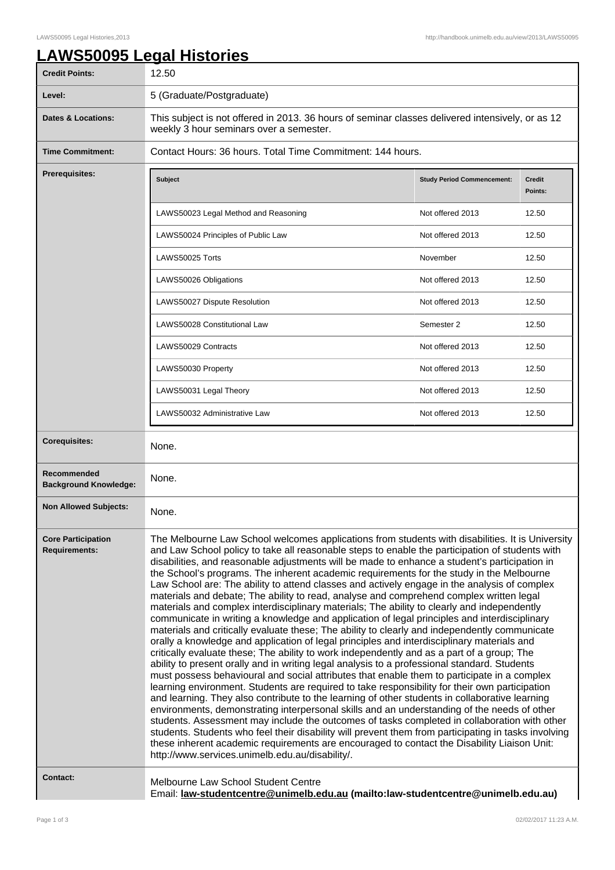## **LAWS50095 Legal Histories**

| <b>Credit Points:</b>                             | 12.50                                                                                                                                                                                                                                                                                                                                                                                                                                                                                                                                                                                                                                                                                                                                                                                                                                                                                                                                                                                                                                                                                                                                                                                                                                                                                                                                                                                                                                                                                                                                                                                                                                                                                                                                                                                                                                                                                                                                               |                                   |                          |
|---------------------------------------------------|-----------------------------------------------------------------------------------------------------------------------------------------------------------------------------------------------------------------------------------------------------------------------------------------------------------------------------------------------------------------------------------------------------------------------------------------------------------------------------------------------------------------------------------------------------------------------------------------------------------------------------------------------------------------------------------------------------------------------------------------------------------------------------------------------------------------------------------------------------------------------------------------------------------------------------------------------------------------------------------------------------------------------------------------------------------------------------------------------------------------------------------------------------------------------------------------------------------------------------------------------------------------------------------------------------------------------------------------------------------------------------------------------------------------------------------------------------------------------------------------------------------------------------------------------------------------------------------------------------------------------------------------------------------------------------------------------------------------------------------------------------------------------------------------------------------------------------------------------------------------------------------------------------------------------------------------------------|-----------------------------------|--------------------------|
| Level:                                            | 5 (Graduate/Postgraduate)                                                                                                                                                                                                                                                                                                                                                                                                                                                                                                                                                                                                                                                                                                                                                                                                                                                                                                                                                                                                                                                                                                                                                                                                                                                                                                                                                                                                                                                                                                                                                                                                                                                                                                                                                                                                                                                                                                                           |                                   |                          |
| <b>Dates &amp; Locations:</b>                     | This subject is not offered in 2013. 36 hours of seminar classes delivered intensively, or as 12<br>weekly 3 hour seminars over a semester.                                                                                                                                                                                                                                                                                                                                                                                                                                                                                                                                                                                                                                                                                                                                                                                                                                                                                                                                                                                                                                                                                                                                                                                                                                                                                                                                                                                                                                                                                                                                                                                                                                                                                                                                                                                                         |                                   |                          |
| <b>Time Commitment:</b>                           | Contact Hours: 36 hours. Total Time Commitment: 144 hours.                                                                                                                                                                                                                                                                                                                                                                                                                                                                                                                                                                                                                                                                                                                                                                                                                                                                                                                                                                                                                                                                                                                                                                                                                                                                                                                                                                                                                                                                                                                                                                                                                                                                                                                                                                                                                                                                                          |                                   |                          |
| Prerequisites:                                    | <b>Subject</b>                                                                                                                                                                                                                                                                                                                                                                                                                                                                                                                                                                                                                                                                                                                                                                                                                                                                                                                                                                                                                                                                                                                                                                                                                                                                                                                                                                                                                                                                                                                                                                                                                                                                                                                                                                                                                                                                                                                                      | <b>Study Period Commencement:</b> | <b>Credit</b><br>Points: |
|                                                   | LAWS50023 Legal Method and Reasoning                                                                                                                                                                                                                                                                                                                                                                                                                                                                                                                                                                                                                                                                                                                                                                                                                                                                                                                                                                                                                                                                                                                                                                                                                                                                                                                                                                                                                                                                                                                                                                                                                                                                                                                                                                                                                                                                                                                | Not offered 2013                  | 12.50                    |
|                                                   | LAWS50024 Principles of Public Law                                                                                                                                                                                                                                                                                                                                                                                                                                                                                                                                                                                                                                                                                                                                                                                                                                                                                                                                                                                                                                                                                                                                                                                                                                                                                                                                                                                                                                                                                                                                                                                                                                                                                                                                                                                                                                                                                                                  | Not offered 2013                  | 12.50                    |
|                                                   | LAWS50025 Torts                                                                                                                                                                                                                                                                                                                                                                                                                                                                                                                                                                                                                                                                                                                                                                                                                                                                                                                                                                                                                                                                                                                                                                                                                                                                                                                                                                                                                                                                                                                                                                                                                                                                                                                                                                                                                                                                                                                                     | November                          | 12.50                    |
|                                                   | LAWS50026 Obligations                                                                                                                                                                                                                                                                                                                                                                                                                                                                                                                                                                                                                                                                                                                                                                                                                                                                                                                                                                                                                                                                                                                                                                                                                                                                                                                                                                                                                                                                                                                                                                                                                                                                                                                                                                                                                                                                                                                               | Not offered 2013                  | 12.50                    |
|                                                   | LAWS50027 Dispute Resolution                                                                                                                                                                                                                                                                                                                                                                                                                                                                                                                                                                                                                                                                                                                                                                                                                                                                                                                                                                                                                                                                                                                                                                                                                                                                                                                                                                                                                                                                                                                                                                                                                                                                                                                                                                                                                                                                                                                        | Not offered 2013                  | 12.50                    |
|                                                   | LAWS50028 Constitutional Law                                                                                                                                                                                                                                                                                                                                                                                                                                                                                                                                                                                                                                                                                                                                                                                                                                                                                                                                                                                                                                                                                                                                                                                                                                                                                                                                                                                                                                                                                                                                                                                                                                                                                                                                                                                                                                                                                                                        | Semester 2                        | 12.50                    |
|                                                   | LAWS50029 Contracts                                                                                                                                                                                                                                                                                                                                                                                                                                                                                                                                                                                                                                                                                                                                                                                                                                                                                                                                                                                                                                                                                                                                                                                                                                                                                                                                                                                                                                                                                                                                                                                                                                                                                                                                                                                                                                                                                                                                 | Not offered 2013                  | 12.50                    |
|                                                   | LAWS50030 Property                                                                                                                                                                                                                                                                                                                                                                                                                                                                                                                                                                                                                                                                                                                                                                                                                                                                                                                                                                                                                                                                                                                                                                                                                                                                                                                                                                                                                                                                                                                                                                                                                                                                                                                                                                                                                                                                                                                                  | Not offered 2013                  | 12.50                    |
|                                                   | LAWS50031 Legal Theory                                                                                                                                                                                                                                                                                                                                                                                                                                                                                                                                                                                                                                                                                                                                                                                                                                                                                                                                                                                                                                                                                                                                                                                                                                                                                                                                                                                                                                                                                                                                                                                                                                                                                                                                                                                                                                                                                                                              | Not offered 2013                  | 12.50                    |
|                                                   | LAWS50032 Administrative Law                                                                                                                                                                                                                                                                                                                                                                                                                                                                                                                                                                                                                                                                                                                                                                                                                                                                                                                                                                                                                                                                                                                                                                                                                                                                                                                                                                                                                                                                                                                                                                                                                                                                                                                                                                                                                                                                                                                        | Not offered 2013                  | 12.50                    |
| <b>Corequisites:</b>                              | None.                                                                                                                                                                                                                                                                                                                                                                                                                                                                                                                                                                                                                                                                                                                                                                                                                                                                                                                                                                                                                                                                                                                                                                                                                                                                                                                                                                                                                                                                                                                                                                                                                                                                                                                                                                                                                                                                                                                                               |                                   |                          |
| Recommended<br><b>Background Knowledge:</b>       | None.                                                                                                                                                                                                                                                                                                                                                                                                                                                                                                                                                                                                                                                                                                                                                                                                                                                                                                                                                                                                                                                                                                                                                                                                                                                                                                                                                                                                                                                                                                                                                                                                                                                                                                                                                                                                                                                                                                                                               |                                   |                          |
| <b>Non Allowed Subjects:</b>                      | None.                                                                                                                                                                                                                                                                                                                                                                                                                                                                                                                                                                                                                                                                                                                                                                                                                                                                                                                                                                                                                                                                                                                                                                                                                                                                                                                                                                                                                                                                                                                                                                                                                                                                                                                                                                                                                                                                                                                                               |                                   |                          |
| <b>Core Participation</b><br><b>Requirements:</b> | The Melbourne Law School welcomes applications from students with disabilities. It is University<br>and Law School policy to take all reasonable steps to enable the participation of students with<br>disabilities, and reasonable adjustments will be made to enhance a student's participation in<br>the School's programs. The inherent academic requirements for the study in the Melbourne<br>Law School are: The ability to attend classes and actively engage in the analysis of complex<br>materials and debate; The ability to read, analyse and comprehend complex written legal<br>materials and complex interdisciplinary materials; The ability to clearly and independently<br>communicate in writing a knowledge and application of legal principles and interdisciplinary<br>materials and critically evaluate these; The ability to clearly and independently communicate<br>orally a knowledge and application of legal principles and interdisciplinary materials and<br>critically evaluate these; The ability to work independently and as a part of a group; The<br>ability to present orally and in writing legal analysis to a professional standard. Students<br>must possess behavioural and social attributes that enable them to participate in a complex<br>learning environment. Students are required to take responsibility for their own participation<br>and learning. They also contribute to the learning of other students in collaborative learning<br>environments, demonstrating interpersonal skills and an understanding of the needs of other<br>students. Assessment may include the outcomes of tasks completed in collaboration with other<br>students. Students who feel their disability will prevent them from participating in tasks involving<br>these inherent academic requirements are encouraged to contact the Disability Liaison Unit:<br>http://www.services.unimelb.edu.au/disability/. |                                   |                          |
| <b>Contact:</b>                                   | Melbourne Law School Student Centre<br>Email: law-studentcentre@unimelb.edu.au (mailto:law-studentcentre@unimelb.edu.au)                                                                                                                                                                                                                                                                                                                                                                                                                                                                                                                                                                                                                                                                                                                                                                                                                                                                                                                                                                                                                                                                                                                                                                                                                                                                                                                                                                                                                                                                                                                                                                                                                                                                                                                                                                                                                            |                                   |                          |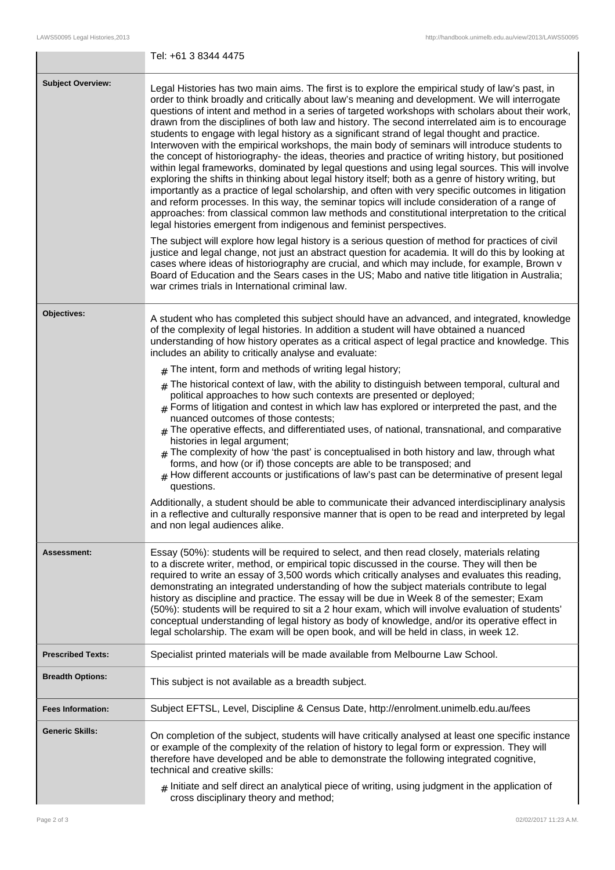|                          | Tel: +61 3 8344 4475                                                                                                                                                                                                                                                                                                                                                                                                                                                                                                                                                                                                                                                                                                                                                                                                                                                                                                                                                                                                                                                                                                                                                                                                                                                                                                                                                                                                                                                                                                                                                                                                                                                                                                                                                                |  |
|--------------------------|-------------------------------------------------------------------------------------------------------------------------------------------------------------------------------------------------------------------------------------------------------------------------------------------------------------------------------------------------------------------------------------------------------------------------------------------------------------------------------------------------------------------------------------------------------------------------------------------------------------------------------------------------------------------------------------------------------------------------------------------------------------------------------------------------------------------------------------------------------------------------------------------------------------------------------------------------------------------------------------------------------------------------------------------------------------------------------------------------------------------------------------------------------------------------------------------------------------------------------------------------------------------------------------------------------------------------------------------------------------------------------------------------------------------------------------------------------------------------------------------------------------------------------------------------------------------------------------------------------------------------------------------------------------------------------------------------------------------------------------------------------------------------------------|--|
| <b>Subject Overview:</b> | Legal Histories has two main aims. The first is to explore the empirical study of law's past, in<br>order to think broadly and critically about law's meaning and development. We will interrogate<br>questions of intent and method in a series of targeted workshops with scholars about their work,<br>drawn from the disciplines of both law and history. The second interrelated aim is to encourage<br>students to engage with legal history as a significant strand of legal thought and practice.<br>Interwoven with the empirical workshops, the main body of seminars will introduce students to<br>the concept of historiography- the ideas, theories and practice of writing history, but positioned<br>within legal frameworks, dominated by legal questions and using legal sources. This will involve<br>exploring the shifts in thinking about legal history itself; both as a genre of history writing, but<br>importantly as a practice of legal scholarship, and often with very specific outcomes in litigation<br>and reform processes. In this way, the seminar topics will include consideration of a range of<br>approaches: from classical common law methods and constitutional interpretation to the critical<br>legal histories emergent from indigenous and feminist perspectives.<br>The subject will explore how legal history is a serious question of method for practices of civil<br>justice and legal change, not just an abstract question for academia. It will do this by looking at<br>cases where ideas of historiography are crucial, and which may include, for example, Brown v<br>Board of Education and the Sears cases in the US; Mabo and native title litigation in Australia;<br>war crimes trials in International criminal law. |  |
| Objectives:              | A student who has completed this subject should have an advanced, and integrated, knowledge<br>of the complexity of legal histories. In addition a student will have obtained a nuanced<br>understanding of how history operates as a critical aspect of legal practice and knowledge. This<br>includes an ability to critically analyse and evaluate:                                                                                                                                                                                                                                                                                                                                                                                                                                                                                                                                                                                                                                                                                                                                                                                                                                                                                                                                                                                                                                                                                                                                                                                                                                                                                                                                                                                                                              |  |
|                          | $#$ The intent, form and methods of writing legal history;                                                                                                                                                                                                                                                                                                                                                                                                                                                                                                                                                                                                                                                                                                                                                                                                                                                                                                                                                                                                                                                                                                                                                                                                                                                                                                                                                                                                                                                                                                                                                                                                                                                                                                                          |  |
|                          | $#$ The historical context of law, with the ability to distinguish between temporal, cultural and<br>political approaches to how such contexts are presented or deployed;<br>$_{\text{\#}}$ Forms of litigation and contest in which law has explored or interpreted the past, and the<br>nuanced outcomes of those contests;<br>$#$ The operative effects, and differentiated uses, of national, transnational, and comparative<br>histories in legal argument;<br>The complexity of how 'the past' is conceptualised in both history and law, through what<br>#<br>forms, and how (or if) those concepts are able to be transposed; and<br>$_{\rm #}$ How different accounts or justifications of law's past can be determinative of present legal<br>questions.<br>Additionally, a student should be able to communicate their advanced interdisciplinary analysis<br>in a reflective and culturally responsive manner that is open to be read and interpreted by legal<br>and non legal audiences alike.                                                                                                                                                                                                                                                                                                                                                                                                                                                                                                                                                                                                                                                                                                                                                                        |  |
| Assessment:              | Essay (50%): students will be required to select, and then read closely, materials relating<br>to a discrete writer, method, or empirical topic discussed in the course. They will then be<br>required to write an essay of 3,500 words which critically analyses and evaluates this reading,<br>demonstrating an integrated understanding of how the subject materials contribute to legal<br>history as discipline and practice. The essay will be due in Week 8 of the semester; Exam<br>(50%): students will be required to sit a 2 hour exam, which will involve evaluation of students'<br>conceptual understanding of legal history as body of knowledge, and/or its operative effect in<br>legal scholarship. The exam will be open book, and will be held in class, in week 12.                                                                                                                                                                                                                                                                                                                                                                                                                                                                                                                                                                                                                                                                                                                                                                                                                                                                                                                                                                                            |  |
| <b>Prescribed Texts:</b> | Specialist printed materials will be made available from Melbourne Law School.                                                                                                                                                                                                                                                                                                                                                                                                                                                                                                                                                                                                                                                                                                                                                                                                                                                                                                                                                                                                                                                                                                                                                                                                                                                                                                                                                                                                                                                                                                                                                                                                                                                                                                      |  |
| <b>Breadth Options:</b>  | This subject is not available as a breadth subject.                                                                                                                                                                                                                                                                                                                                                                                                                                                                                                                                                                                                                                                                                                                                                                                                                                                                                                                                                                                                                                                                                                                                                                                                                                                                                                                                                                                                                                                                                                                                                                                                                                                                                                                                 |  |
| <b>Fees Information:</b> | Subject EFTSL, Level, Discipline & Census Date, http://enrolment.unimelb.edu.au/fees                                                                                                                                                                                                                                                                                                                                                                                                                                                                                                                                                                                                                                                                                                                                                                                                                                                                                                                                                                                                                                                                                                                                                                                                                                                                                                                                                                                                                                                                                                                                                                                                                                                                                                |  |
| <b>Generic Skills:</b>   | On completion of the subject, students will have critically analysed at least one specific instance<br>or example of the complexity of the relation of history to legal form or expression. They will<br>therefore have developed and be able to demonstrate the following integrated cognitive,<br>technical and creative skills:                                                                                                                                                                                                                                                                                                                                                                                                                                                                                                                                                                                                                                                                                                                                                                                                                                                                                                                                                                                                                                                                                                                                                                                                                                                                                                                                                                                                                                                  |  |
|                          | $#$ Initiate and self direct an analytical piece of writing, using judgment in the application of                                                                                                                                                                                                                                                                                                                                                                                                                                                                                                                                                                                                                                                                                                                                                                                                                                                                                                                                                                                                                                                                                                                                                                                                                                                                                                                                                                                                                                                                                                                                                                                                                                                                                   |  |

# cross disciplinary theory and method;